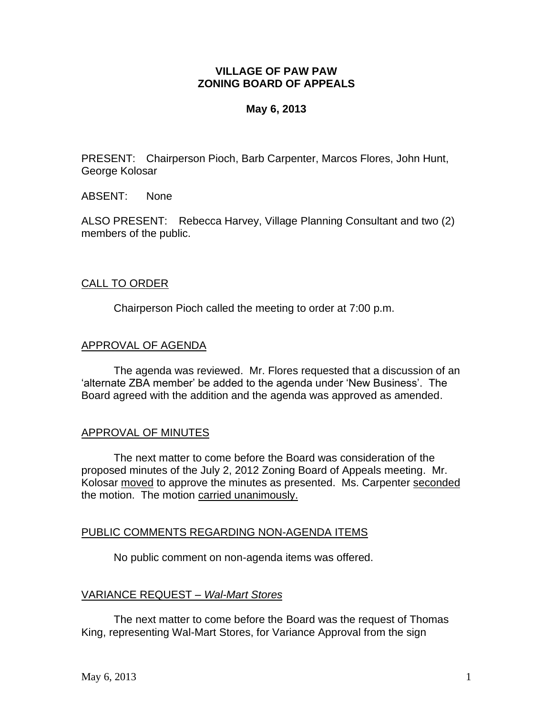# **VILLAGE OF PAW PAW ZONING BOARD OF APPEALS**

# **May 6, 2013**

PRESENT: Chairperson Pioch, Barb Carpenter, Marcos Flores, John Hunt, George Kolosar

ABSENT: None

ALSO PRESENT: Rebecca Harvey, Village Planning Consultant and two (2) members of the public.

## CALL TO ORDER

Chairperson Pioch called the meeting to order at 7:00 p.m.

## APPROVAL OF AGENDA

The agenda was reviewed. Mr. Flores requested that a discussion of an 'alternate ZBA member' be added to the agenda under 'New Business'. The Board agreed with the addition and the agenda was approved as amended.

## APPROVAL OF MINUTES

The next matter to come before the Board was consideration of the proposed minutes of the July 2, 2012 Zoning Board of Appeals meeting. Mr. Kolosar moved to approve the minutes as presented. Ms. Carpenter seconded the motion. The motion carried unanimously.

## PUBLIC COMMENTS REGARDING NON-AGENDA ITEMS

No public comment on non-agenda items was offered.

## VARIANCE REQUEST – *Wal-Mart Stores*

The next matter to come before the Board was the request of Thomas King, representing Wal-Mart Stores, for Variance Approval from the sign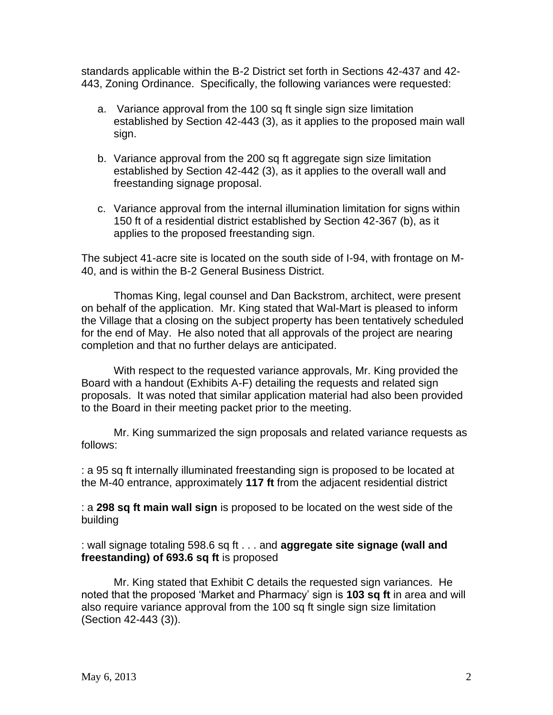standards applicable within the B-2 District set forth in Sections 42-437 and 42- 443, Zoning Ordinance. Specifically, the following variances were requested:

- a. Variance approval from the 100 sq ft single sign size limitation established by Section 42-443 (3), as it applies to the proposed main wall sign.
- b. Variance approval from the 200 sq ft aggregate sign size limitation established by Section 42-442 (3), as it applies to the overall wall and freestanding signage proposal.
- c. Variance approval from the internal illumination limitation for signs within 150 ft of a residential district established by Section 42-367 (b), as it applies to the proposed freestanding sign.

The subject 41-acre site is located on the south side of I-94, with frontage on M-40, and is within the B-2 General Business District.

Thomas King, legal counsel and Dan Backstrom, architect, were present on behalf of the application. Mr. King stated that Wal-Mart is pleased to inform the Village that a closing on the subject property has been tentatively scheduled for the end of May. He also noted that all approvals of the project are nearing completion and that no further delays are anticipated.

With respect to the requested variance approvals, Mr. King provided the Board with a handout (Exhibits A-F) detailing the requests and related sign proposals. It was noted that similar application material had also been provided to the Board in their meeting packet prior to the meeting.

Mr. King summarized the sign proposals and related variance requests as follows:

: a 95 sq ft internally illuminated freestanding sign is proposed to be located at the M-40 entrance, approximately **117 ft** from the adjacent residential district

: a **298 sq ft main wall sign** is proposed to be located on the west side of the building

: wall signage totaling 598.6 sq ft . . . and **aggregate site signage (wall and freestanding) of 693.6 sq ft** is proposed

Mr. King stated that Exhibit C details the requested sign variances. He noted that the proposed 'Market and Pharmacy' sign is **103 sq ft** in area and will also require variance approval from the 100 sq ft single sign size limitation (Section 42-443 (3)).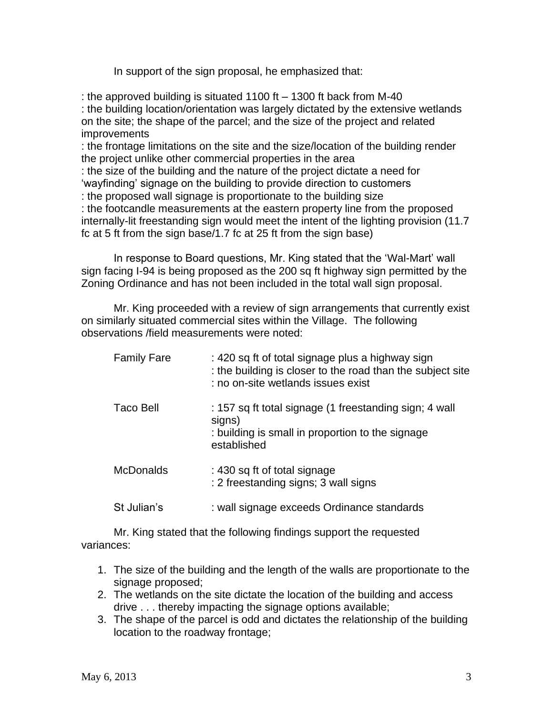In support of the sign proposal, he emphasized that:

: the approved building is situated 1100 ft – 1300 ft back from M-40 : the building location/orientation was largely dictated by the extensive wetlands on the site; the shape of the parcel; and the size of the project and related improvements : the frontage limitations on the site and the size/location of the building render the project unlike other commercial properties in the area : the size of the building and the nature of the project dictate a need for 'wayfinding' signage on the building to provide direction to customers : the proposed wall signage is proportionate to the building size

: the footcandle measurements at the eastern property line from the proposed internally-lit freestanding sign would meet the intent of the lighting provision (11.7 fc at 5 ft from the sign base/1.7 fc at 25 ft from the sign base)

In response to Board questions, Mr. King stated that the 'Wal-Mart' wall sign facing I-94 is being proposed as the 200 sq ft highway sign permitted by the Zoning Ordinance and has not been included in the total wall sign proposal.

Mr. King proceeded with a review of sign arrangements that currently exist on similarly situated commercial sites within the Village. The following observations /field measurements were noted:

| <b>Family Fare</b> | : 420 sq ft of total signage plus a highway sign<br>: the building is closer to the road than the subject site<br>: no on-site wetlands issues exist |
|--------------------|------------------------------------------------------------------------------------------------------------------------------------------------------|
| <b>Taco Bell</b>   | : 157 sq ft total signage (1 freestanding sign; 4 wall<br>signs)<br>: building is small in proportion to the signage<br>established                  |
| <b>McDonalds</b>   | : 430 sq ft of total signage<br>: 2 freestanding signs; 3 wall signs                                                                                 |
| St Julian's        | : wall signage exceeds Ordinance standards                                                                                                           |

Mr. King stated that the following findings support the requested variances:

- 1. The size of the building and the length of the walls are proportionate to the signage proposed;
- 2. The wetlands on the site dictate the location of the building and access drive . . . thereby impacting the signage options available;
- 3. The shape of the parcel is odd and dictates the relationship of the building location to the roadway frontage;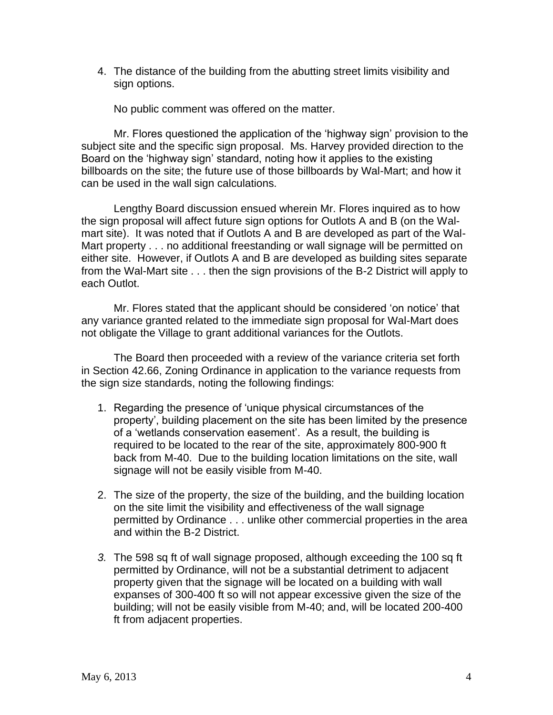4. The distance of the building from the abutting street limits visibility and sign options.

No public comment was offered on the matter.

Mr. Flores questioned the application of the 'highway sign' provision to the subject site and the specific sign proposal. Ms. Harvey provided direction to the Board on the 'highway sign' standard, noting how it applies to the existing billboards on the site; the future use of those billboards by Wal-Mart; and how it can be used in the wall sign calculations.

Lengthy Board discussion ensued wherein Mr. Flores inquired as to how the sign proposal will affect future sign options for Outlots A and B (on the Walmart site). It was noted that if Outlots A and B are developed as part of the Wal-Mart property . . . no additional freestanding or wall signage will be permitted on either site. However, if Outlots A and B are developed as building sites separate from the Wal-Mart site . . . then the sign provisions of the B-2 District will apply to each Outlot.

Mr. Flores stated that the applicant should be considered 'on notice' that any variance granted related to the immediate sign proposal for Wal-Mart does not obligate the Village to grant additional variances for the Outlots.

The Board then proceeded with a review of the variance criteria set forth in Section 42.66, Zoning Ordinance in application to the variance requests from the sign size standards, noting the following findings:

- 1. Regarding the presence of 'unique physical circumstances of the property', building placement on the site has been limited by the presence of a 'wetlands conservation easement'. As a result, the building is required to be located to the rear of the site, approximately 800-900 ft back from M-40. Due to the building location limitations on the site, wall signage will not be easily visible from M-40.
- 2. The size of the property, the size of the building, and the building location on the site limit the visibility and effectiveness of the wall signage permitted by Ordinance . . . unlike other commercial properties in the area and within the B-2 District.
- *3.* The 598 sq ft of wall signage proposed, although exceeding the 100 sq ft permitted by Ordinance, will not be a substantial detriment to adjacent property given that the signage will be located on a building with wall expanses of 300-400 ft so will not appear excessive given the size of the building; will not be easily visible from M-40; and, will be located 200-400 ft from adjacent properties.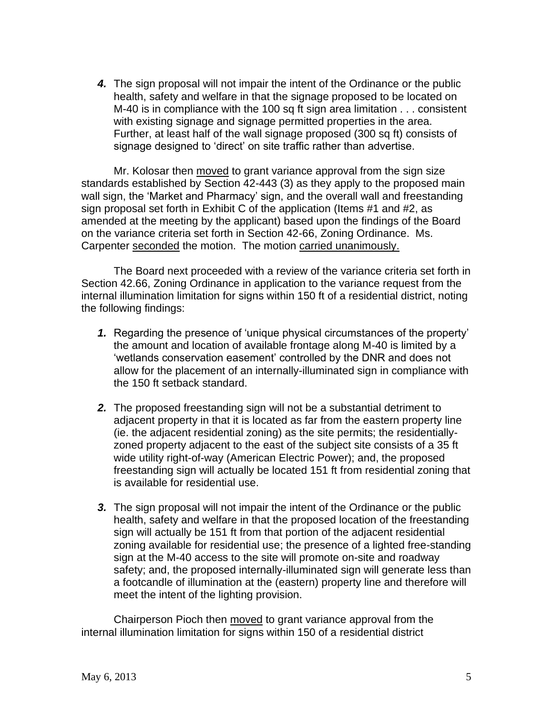*4.* The sign proposal will not impair the intent of the Ordinance or the public health, safety and welfare in that the signage proposed to be located on M-40 is in compliance with the 100 sq ft sign area limitation . . . consistent with existing signage and signage permitted properties in the area. Further, at least half of the wall signage proposed (300 sq ft) consists of signage designed to 'direct' on site traffic rather than advertise.

Mr. Kolosar then moved to grant variance approval from the sign size standards established by Section 42-443 (3) as they apply to the proposed main wall sign, the 'Market and Pharmacy' sign, and the overall wall and freestanding sign proposal set forth in Exhibit C of the application (Items #1 and #2, as amended at the meeting by the applicant) based upon the findings of the Board on the variance criteria set forth in Section 42-66, Zoning Ordinance. Ms. Carpenter seconded the motion. The motion carried unanimously.

The Board next proceeded with a review of the variance criteria set forth in Section 42.66, Zoning Ordinance in application to the variance request from the internal illumination limitation for signs within 150 ft of a residential district, noting the following findings:

- *1.* Regarding the presence of 'unique physical circumstances of the property' the amount and location of available frontage along M-40 is limited by a 'wetlands conservation easement' controlled by the DNR and does not allow for the placement of an internally-illuminated sign in compliance with the 150 ft setback standard.
- *2.* The proposed freestanding sign will not be a substantial detriment to adjacent property in that it is located as far from the eastern property line (ie. the adjacent residential zoning) as the site permits; the residentiallyzoned property adjacent to the east of the subject site consists of a 35 ft wide utility right-of-way (American Electric Power); and, the proposed freestanding sign will actually be located 151 ft from residential zoning that is available for residential use.
- *3.* The sign proposal will not impair the intent of the Ordinance or the public health, safety and welfare in that the proposed location of the freestanding sign will actually be 151 ft from that portion of the adjacent residential zoning available for residential use; the presence of a lighted free-standing sign at the M-40 access to the site will promote on-site and roadway safety; and, the proposed internally-illuminated sign will generate less than a footcandle of illumination at the (eastern) property line and therefore will meet the intent of the lighting provision.

Chairperson Pioch then moved to grant variance approval from the internal illumination limitation for signs within 150 of a residential district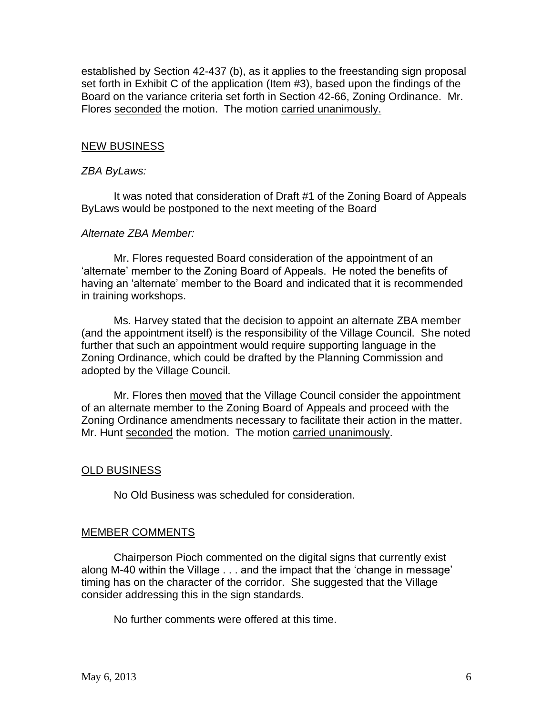established by Section 42-437 (b), as it applies to the freestanding sign proposal set forth in Exhibit C of the application (Item #3), based upon the findings of the Board on the variance criteria set forth in Section 42-66, Zoning Ordinance. Mr. Flores seconded the motion. The motion carried unanimously.

## NEW BUSINESS

#### *ZBA ByLaws:*

It was noted that consideration of Draft #1 of the Zoning Board of Appeals ByLaws would be postponed to the next meeting of the Board

#### *Alternate ZBA Member:*

Mr. Flores requested Board consideration of the appointment of an 'alternate' member to the Zoning Board of Appeals. He noted the benefits of having an 'alternate' member to the Board and indicated that it is recommended in training workshops.

Ms. Harvey stated that the decision to appoint an alternate ZBA member (and the appointment itself) is the responsibility of the Village Council. She noted further that such an appointment would require supporting language in the Zoning Ordinance, which could be drafted by the Planning Commission and adopted by the Village Council.

Mr. Flores then moved that the Village Council consider the appointment of an alternate member to the Zoning Board of Appeals and proceed with the Zoning Ordinance amendments necessary to facilitate their action in the matter. Mr. Hunt seconded the motion. The motion carried unanimously.

## OLD BUSINESS

No Old Business was scheduled for consideration.

## MEMBER COMMENTS

Chairperson Pioch commented on the digital signs that currently exist along M-40 within the Village . . . and the impact that the 'change in message' timing has on the character of the corridor. She suggested that the Village consider addressing this in the sign standards.

No further comments were offered at this time.